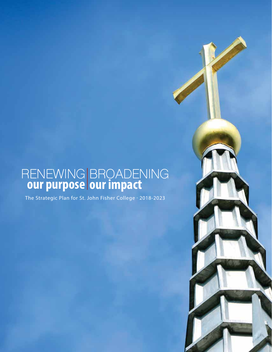### RENEWING **our purpose** BROADENING **our impact**

The Strategic Plan for St. John Fisher College · 2018-2023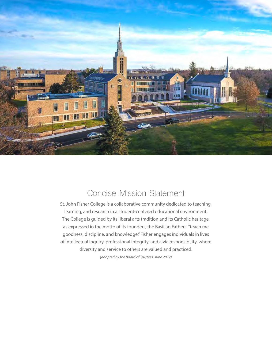

### Concise Mission Statement

St. John Fisher College is a collaborative community dedicated to teaching, learning, and research in a student-centered educational environment. The College is guided by its liberal arts tradition and its Catholic heritage, as expressed in the motto of its founders, the Basilian Fathers: "teach me goodness, discipline, and knowledge." Fisher engages individuals in lives of intellectual inquiry, professional integrity, and civic responsibility, where diversity and service to others are valued and practiced. *(adopted by the Board of Trustees, June 2012)*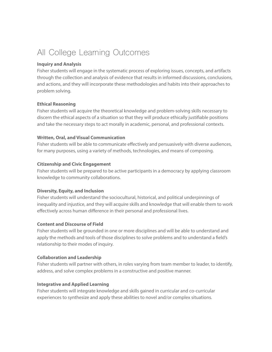# All College Learning Outcomes

### **Inquiry and Analysis**

Fisher students will engage in the systematic process of exploring issues, concepts, and artifacts through the collection and analysis of evidence that results in informed discussions, conclusions, and actions, and they will incorporate these methodologies and habits into their approaches to problem solving.

#### **Ethical Reasoning**

Fisher students will acquire the theoretical knowledge and problem-solving skills necessary to discern the ethical aspects of a situation so that they will produce ethically justifiable positions and take the necessary steps to act morally in academic, personal, and professional contexts.

#### **Written, Oral, and Visual Communication**

Fisher students will be able to communicate effectively and persuasively with diverse audiences, for many purposes, using a variety of methods, technologies, and means of composing.

#### **Citizenship and Civic Engagement**

Fisher students will be prepared to be active participants in a democracy by applying classroom knowledge to community collaborations.

#### **Diversity, Equity, and Inclusion**

Fisher students will understand the sociocultural, historical, and political underpinnings of inequality and injustice, and they will acquire skills and knowledge that will enable them to work effectively across human difference in their personal and professional lives.

### **Content and Discourse of Field**

Fisher students will be grounded in one or more disciplines and will be able to understand and apply the methods and tools of those disciplines to solve problems and to understand a field's relationship to their modes of inquiry.

### **Collaboration and Leadership**

Fisher students will partner with others, in roles varying from team member to leader, to identify, address, and solve complex problems in a constructive and positive manner.

### **Integrative and Applied Learning**

Fisher students will integrate knowledge and skills gained in curricular and co-curricular experiences to synthesize and apply these abilities to novel and/or complex situations.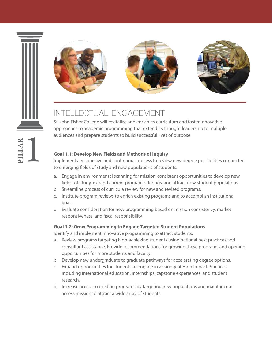



# INTELLECTUAL ENGAGEMENT

St. John Fisher College will revitalize and enrich its curriculum and foster innovative approaches to academic programming that extend its thought leadership to multiple audiences and prepare students to build successful lives of purpose.

### **Goal 1.1: Develop New Fields and Methods of Inquiry**

Implement a responsive and continuous process to review new degree possibilities connected to emerging fields of study and new populations of students.

- a. Engage in environmental scanning for mission-consistent opportunities to develop new fields-of-study, expand current program offerings, and attract new student populations.
- b. Streamline process of curricula review for new and revised programs.
- c. Institute program reviews to enrich existing programs and to accomplish institutional goals.
- d. Evaluate consideration for new programming based on mission consistency, market responsiveness, and fiscal responsibility

### **Goal 1.2: Grow Programming to Engage Targeted Student Populations**

Identify and implement innovative programming to attract students.

- a. Review programs targeting high-achieving students using national best practices and consultant assistance. Provide recommendations for growing these programs and opening opportunities for more students and faculty.
- b. Develop new undergraduate to graduate pathways for accelerating degree options.
- c. Expand opportunities for students to engage in a variety of High Impact Practices including international education, internships, capstone experiences, and student research.
- d. Increase access to existing programs by targeting new populations and maintain our access mission to attract a wide array of students.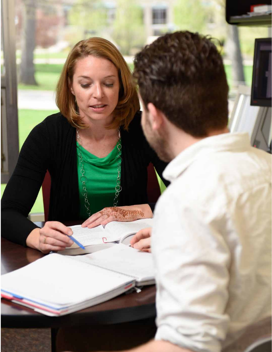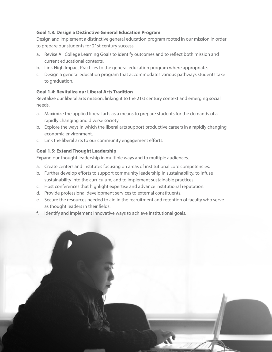### **Goal 1.3: Design a Distinctive General Education Program**

Design and implement a distinctive general education program rooted in our mission in order to prepare our students for 21st century success.

- a. Revise All College Learning Goals to identify outcomes and to reflect both mission and current educational contexts.
- b. Link High Impact Practices to the general education program where appropriate.
- c. Design a general education program that accommodates various pathways students take to graduation.

### **Goal 1.4: Revitalize our Liberal Arts Tradition**

Revitalize our liberal arts mission, linking it to the 21st century context and emerging social needs.

- a. Maximize the applied liberal arts as a means to prepare students for the demands of a rapidly changing and diverse society.
- b. Explore the ways in which the liberal arts support productive careers in a rapidly changing economic environment.
- c. Link the liberal arts to our community engagement efforts.

### **Goal 1.5: Extend Thought Leadership**

Expand our thought leadership in multiple ways and to multiple audiences.

- a. Create centers and institutes focusing on areas of institutional core competencies.
- b. Further develop efforts to support community leadership in sustainability, to infuse sustainability into the curriculum, and to implement sustainable practices.
- c. Host conferences that highlight expertise and advance institutional reputation.
- d. Provide professional development services to external constituents.
- e. Secure the resources needed to aid in the recruitment and retention of faculty who serve as thought leaders in their fields.
- f. Identify and implement innovative ways to achieve institutional goals.

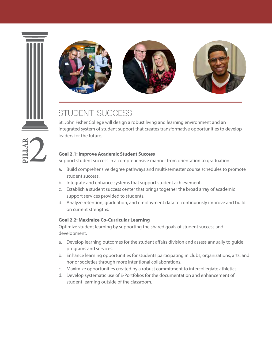



# STUDENT SUCCESS

St. John Fisher College will design a robust living and learning environment and an integrated system of student support that creates transformative opportunities to develop leaders for the future.

### **Goal 2.1: Improve Academic Student Success**

Support student success in a comprehensive manner from orientation to graduation.

- a. Build comprehensive degree pathways and multi-semester course schedules to promote student success.
- b. Integrate and enhance systems that support student achievement.
- c. Establish a student success center that brings together the broad array of academic support services provided to students.
- d. Analyze retention, graduation, and employment data to continuously improve and build on current strengths.

### **Goal 2.2: Maximize Co-Curricular Learning**

Optimize student learning by supporting the shared goals of student success and development.

- a. Develop learning outcomes for the student affairs division and assess annually to guide programs and services.
- b. Enhance learning opportunities for students participating in clubs, organizations, arts, and honor societies through more intentional collaborations.
- c. Maximize opportunities created by a robust commitment to intercollegiate athletics.
- d. Develop systematic use of E-Portfolios for the documentation and enhancement of student learning outside of the classroom.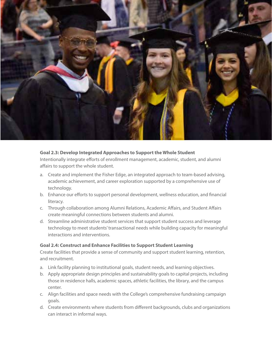

### **Goal 2.3: Develop Integrated Approaches to Support the Whole Student**

Intentionally integrate efforts of enrollment management, academic, student, and alumni affairs to support the whole student.

- a. Create and implement the Fisher Edge, an integrated approach to team-based advising, academic achievement, and career exploration supported by a comprehensive use of technology.
- b. Enhance our efforts to support personal development, wellness education, and financial literacy.
- c. Through collaboration among Alumni Relations, Academic Affairs, and Student Affairs create meaningful connections between students and alumni.
- d. Streamline administrative student services that support student success and leverage technology to meet students' transactional needs while building capacity for meaningful interactions and interventions.

### **Goal 2.4: Construct and Enhance Facilities to Support Student Learning**

Create facilities that provide a sense of community and support student learning, retention, and recruitment.

- a. Link facility planning to institutional goals, student needs, and learning objectives.
- b. Apply appropriate design principles and sustainability goals to capital projects, including those in residence halls, academic spaces, athletic facilities, the library, and the campus center.
- c. Align facilities and space needs with the College's comprehensive fundraising campaign goals.
- d. Create environments where students from different backgrounds, clubs and organizations can interact in informal ways.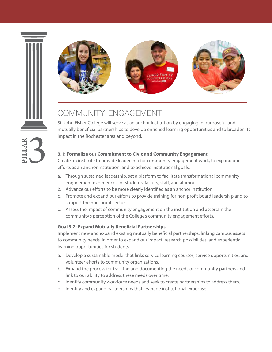



## COMMUNITY ENGAGEMENT

St. John Fisher College will serve as an anchor institution by engaging in purposeful and mutually beneficial partnerships to develop enriched learning opportunities and to broaden its impact in the Rochester area and beyond.

### **3.1: Formalize our Commitment to Civic and Community Engagement**

Create an institute to provide leadership for community engagement work, to expand our efforts as an anchor institution, and to achieve institutional goals.

- a. Through sustained leadership, set a platform to facilitate transformational community engagement experiences for students, faculty, staff, and alumni.
- b. Advance our efforts to be more clearly identified as an anchor institution.
- c. Promote and expand our efforts to provide training for non-profit board leadership and to support the non-profit sector.
- d. Assess the impact of community engagement on the institution and ascertain the community's perception of the College's community engagement efforts.

### **Goal 3.2: Expand Mutually Beneficial Partnerships**

Implement new and expand existing mutually beneficial partnerships, linking campus assets to community needs, in order to expand our impact, research possibilities, and experiential learning opportunities for students.

- a. Develop a sustainable model that links service learning courses, service opportunities, and volunteer efforts to community organizations.
- b. Expand the process for tracking and documenting the needs of community partners and link to our ability to address these needs over time.
- c. Identify community workforce needs and seek to create partnerships to address them.
- d. Identify and expand partnerships that leverage institutional expertise.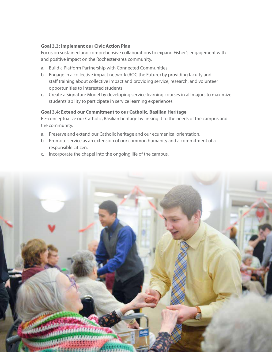#### **Goal 3.3: Implement our Civic Action Plan**

Focus on sustained and comprehensive collaborations to expand Fisher's engagement with and positive impact on the Rochester-area community.

- a. Build a Platform Partnership with Connected Communities.
- b. Engage in a collective impact network (ROC the Future) by providing faculty and staff training about collective impact and providing service, research, and volunteer opportunities to interested students.
- c. Create a Signature Model by developing service learning courses in all majors to maximize students' ability to participate in service learning experiences.

#### **Goal 3.4: Extend our Commitment to our Catholic, Basilian Heritage**

Re-conceptualize our Catholic, Basilian heritage by linking it to the needs of the campus and the community.

- a. Preserve and extend our Catholic heritage and our ecumenical orientation.
- b. Promote service as an extension of our common humanity and a commitment of a responsible citizen.
- c. Incorporate the chapel into the ongoing life of the campus.

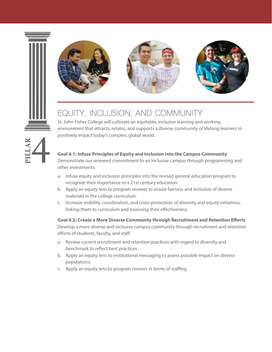



# EQUITY, INCLUSION, AND COMMUNITY

St. John Fisher College will cultivate an equitable, inclusive learning and working environment that attracts, retains, and supports a diverse community of lifelong learners to positively impact today's complex, global world.



### **Goal 4.1: Infuse Principles of Equity and Inclusion into the Campus Community**

Demonstrate our renewed commitment to an inclusive campus through programming and other investments.

- a. Infuse equity and inclusion principles into the revised general education program to recognize their importance to a 21st century education.
- b. Apply an equity lens to program reviews to assure fairness and inclusion of diverse materials in the college curriculum.
- c. Increase visibility, coordination, and cross-promotion of diversity and equity initiatives, linking them to curriculum and assessing their effectiveness.

**Goal 4.2: Create a More Diverse Community through Recruitment and Retention Efforts**  Develop a more diverse and inclusive campus community through recruitment and retention efforts of students, faculty, and staff.

- a. Review current recruitment and retention practices with regard to diversity and benchmark to reflect best practices.
- b. Apply an equity lens to institutional messaging to assess possible impact on diverse populations.
- c. Apply an equity lens to program reviews in terms of staffing.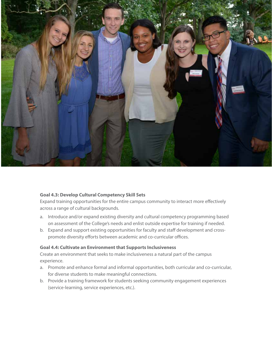

### **Goal 4.3: Develop Cultural Competency Skill Sets**

Expand training opportunities for the entire campus community to interact more effectively across a range of cultural backgrounds.

- a. Introduce and/or expand existing diversity and cultural competency programming based on assessment of the College's needs and enlist outside expertise for training if needed.
- b. Expand and support existing opportunities for faculty and staff development and crosspromote diversity efforts between academic and co-curricular offices.

### **Goal 4.4: Cultivate an Environment that Supports Inclusiveness**

Create an environment that seeks to make inclusiveness a natural part of the campus experience.

- a. Promote and enhance formal and informal opportunities, both curricular and co-curricular, for diverse students to make meaningful connections.
- b. Provide a training framework for students seeking community engagement experiences (service-learning, service experiences, etc.).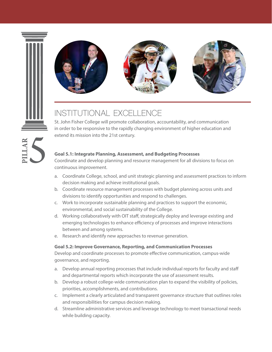



# INSTITUTIONAL EXCELLENCE

St. John Fisher College will promote collaboration, accountability, and communication in order to be responsive to the rapidly changing environment of higher education and extend its mission into the 21st century.



### **Goal 5.1: Integrate Planning, Assessment, and Budgeting Processes**

Coordinate and develop planning and resource management for all divisions to focus on continuous improvement.

- a. Coordinate College, school, and unit strategic planning and assessment practices to inform decision making and achieve institutional goals.
- b. Coordinate resource management processes with budget planning across units and divisions to identify opportunities and respond to challenges.
- c. Work to incorporate sustainable planning and practices to support the economic, environmental, and social sustainability of the College.
- d. Working collaboratively with OIT staff, strategically deploy and leverage existing and emerging technologies to enhance efficiency of processes and improve interactions between and among systems.
- e. Research and identify new approaches to revenue generation.

### **Goal 5.2: Improve Governance, Reporting, and Communication Processes**

Develop and coordinate processes to promote effective communication, campus-wide governance, and reporting.

- a. Develop annual reporting processes that include individual reports for faculty and staff and departmental reports which incorporate the use of assessment results.
- b. Develop a robust college-wide communication plan to expand the visibility of policies, priorities, accomplishments, and contributions.
- c. Implement a clearly articulated and transparent governance structure that outlines roles and responsibilities for campus decision making.
- d. Streamline administrative services and leverage technology to meet transactional needs while building capacity.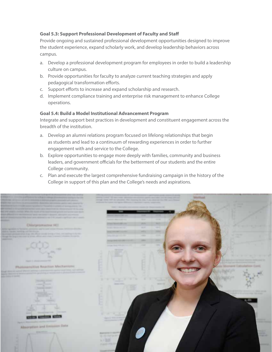### **Goal 5.3: Support Professional Development of Faculty and Staff**

Provide ongoing and sustained professional development opportunities designed to improve the student experience, expand scholarly work, and develop leadership behaviors across campus.

- a. Develop a professional development program for employees in order to build a leadership culture on campus.
- b. Provide opportunities for faculty to analyze current teaching strategies and apply pedagogical transformation efforts.
- c. Support efforts to increase and expand scholarship and research.
- d. Implement compliance training and enterprise risk management to enhance College operations.

### **Goal 5.4: Build a Model Institutional Advancement Program**

Integrate and support best practices in development and constituent engagement across the breadth of the institution.

- a. Develop an alumni relations program focused on lifelong relationships that begin as students and lead to a continuum of rewarding experiences in order to further engagement with and service to the College.
- b. Explore opportunities to engage more deeply with families, community and business leaders, and government officials for the betterment of our students and the entire College community.
- c. Plan and execute the largest comprehensive fundraising campaign in the history of the College in support of this plan and the College's needs and aspirations.

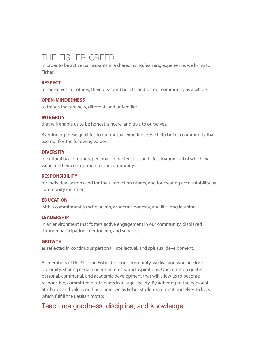### THE FISHER CREED

In order to be active participants in a shared living/learning experience, we bring to Fisher:

#### **RESPECT**

for ourselves; for others, their ideas and beliefs; and for our community as a whole.

#### **OPEN-MINDEDNESS**

to things that are new, different, and unfamiliar.

### **INTEGRITY**

that will enable us to be honest, sincere, and true to ourselves.

By bringing these qualities to our mutual experience, we help build a community that exemplifies the following values:

#### **DIVERSITY**

of cultural backgrounds, personal characteristics, and life situations, all of which we value for their contribution to our community.

### **RESPONSIBILITY**

for individual actions and for their impact on others, and for creating accountability by community members.

### **EDUCATION**

with a commitment to scholarship, academic honesty, and life-long learning.

### **LEADERSHIP**

in an environment that fosters active engagement in our community, displayed through participation, mentorship, and service.

### **GROWTH**

as reflected in continuous personal, intellectual, and spiritual development.

As members of the St. John Fisher College community, we live and work in close proximity, sharing certain needs, interests, and aspirations. Our common goal is personal, communal, and academic development that will allow us to become responsible, committed participants in a large society. By adhering to the personal attributes and values outlined here, we as Fisher students commit ourselves to lives which fulfill the Basilian motto:

### **Teach me goodness, discipline, and knowledge.**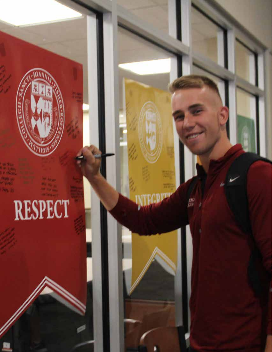

# RESPECT